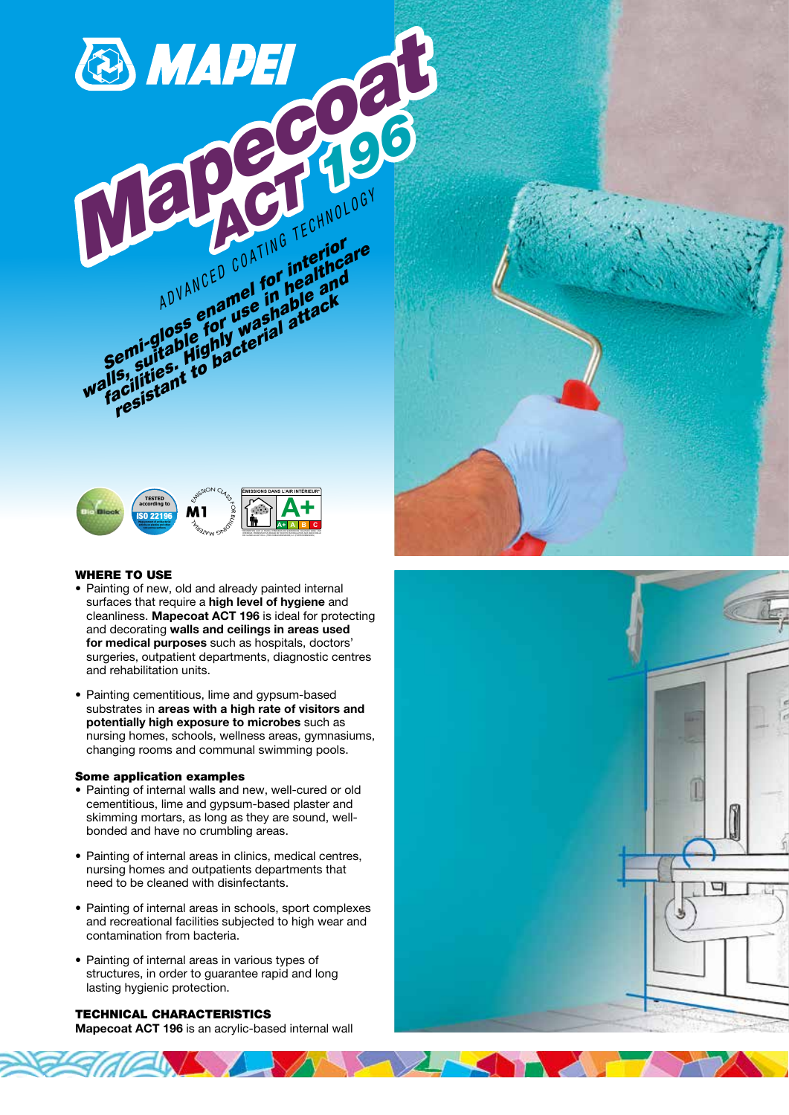

ADVA enames in the ck<br>emisglose for washabitack<br>emisglose for washal attack<br>esuitablight to bacterial<br>acilities, to bacterial

## WHERE TO USE

- Painting of new, old and already painted internal surfaces that require a high level of hygiene and cleanliness. Mapecoat ACT 196 is ideal for protecting and decorating walls and ceilings in areas used for medical purposes such as hospitals, doctors' surgeries, outpatient departments, diagnostic centres and rehabilitation units.
- Painting cementitious, lime and gypsum-based substrates in areas with a high rate of visitors and potentially high exposure to microbes such as nursing homes, schools, wellness areas, gymnasiums, changing rooms and communal swimming pools.

#### Some application examples

- Painting of internal walls and new, well-cured or old cementitious, lime and gypsum-based plaster and skimming mortars, as long as they are sound, wellbonded and have no crumbling areas.
- Painting of internal areas in clinics, medical centres, nursing homes and outpatients departments that need to be cleaned with disinfectants.
- Painting of internal areas in schools, sport complexes and recreational facilities subjected to high wear and contamination from bacteria.
- Painting of internal areas in various types of structures, in order to guarantee rapid and long lasting hygienic protection.

# TECHNICAL CHARACTERISTICS

Mapecoat ACT 196 is an acrylic-based internal wall



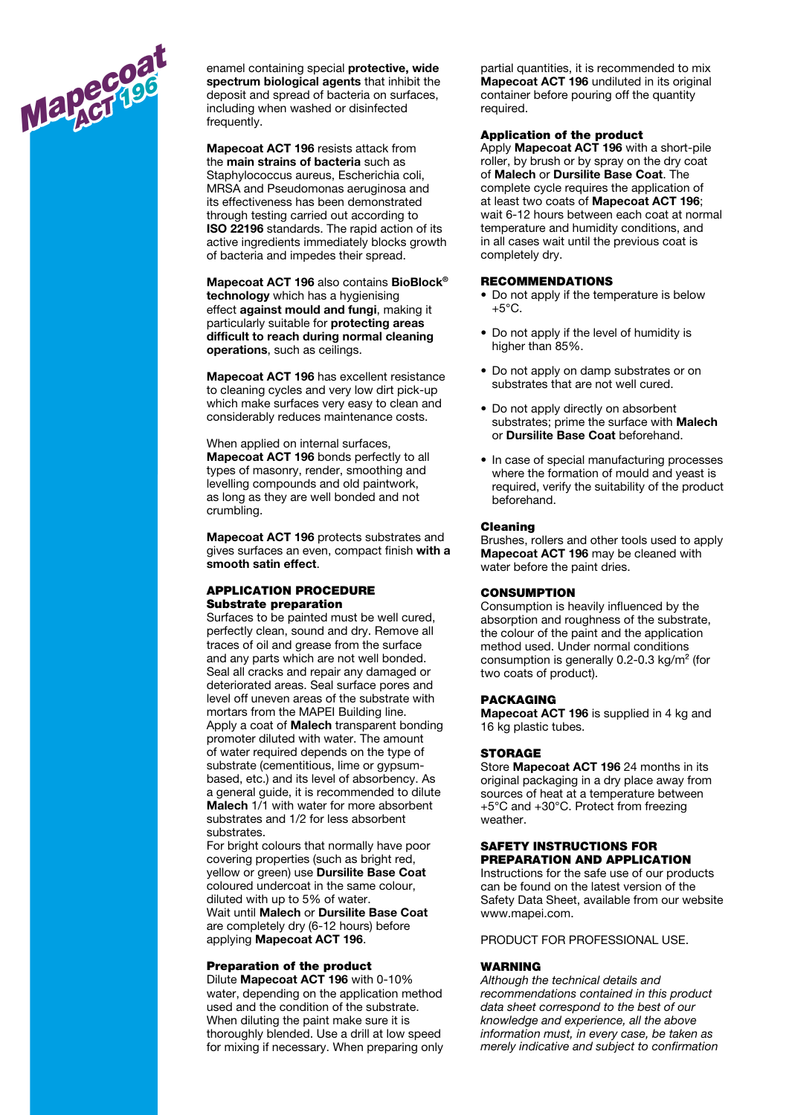

. .

enamel containing special protective, wide spectrum biological agents that inhibit the deposit and spread of bacteria on surfaces, including when washed or disinfected frequently.

Mapecoat ACT 196 resists attack from the main strains of bacteria such as Staphylococcus aureus, Escherichia coli, MRSA and Pseudomonas aeruginosa and its effectiveness has been demonstrated through testing carried out according to ISO 22196 standards. The rapid action of its active ingredients immediately blocks growth of bacteria and impedes their spread.

Mapecoat ACT 196 also contains BioBlock® technology which has a hygienising effect against mould and fungi, making it particularly suitable for protecting areas difficult to reach during normal cleaning operations, such as ceilings.

Mapecoat ACT 196 has excellent resistance to cleaning cycles and very low dirt pick-up which make surfaces very easy to clean and considerably reduces maintenance costs.

When applied on internal surfaces, Mapecoat ACT 196 bonds perfectly to all types of masonry, render, smoothing and levelling compounds and old paintwork, as long as they are well bonded and not crumbling.

Mapecoat ACT 196 protects substrates and gives surfaces an even, compact finish with a smooth satin effect.

# APPLICATION PROCEDURE Substrate preparation

Surfaces to be painted must be well cured, perfectly clean, sound and dry. Remove all traces of oil and grease from the surface and any parts which are not well bonded. Seal all cracks and repair any damaged or deteriorated areas. Seal surface pores and level off uneven areas of the substrate with mortars from the MAPEI Building line. Apply a coat of Malech transparent bonding promoter diluted with water. The amount of water required depends on the type of substrate (cementitious, lime or gypsumbased, etc.) and its level of absorbency. As a general guide, it is recommended to dilute Malech 1/1 with water for more absorbent substrates and 1/2 for less absorbent substrates.

For bright colours that normally have poor covering properties (such as bright red, yellow or green) use Dursilite Base Coat coloured undercoat in the same colour, diluted with up to 5% of water.

Wait until Malech or Dursilite Base Coat are completely dry (6-12 hours) before applying Mapecoat ACT 196.

#### Preparation of the product

Dilute Mapecoat ACT 196 with 0-10% water, depending on the application method used and the condition of the substrate. When diluting the paint make sure it is thoroughly blended. Use a drill at low speed for mixing if necessary. When preparing only partial quantities, it is recommended to mix Mapecoat ACT 196 undiluted in its original container before pouring off the quantity required.

## Application of the product

Apply Mapecoat ACT 196 with a short-pile roller, by brush or by spray on the dry coat of Malech or Dursilite Base Coat. The complete cycle requires the application of at least two coats of Mapecoat ACT 196; wait 6-12 hours between each coat at normal temperature and humidity conditions, and in all cases wait until the previous coat is completely dry.

## RECOMMENDATIONS

- Do not apply if the temperature is below  $+5^{\circ}$ C.
- Do not apply if the level of humidity is higher than 85%.
- Do not apply on damp substrates or on substrates that are not well cured.
- Do not apply directly on absorbent substrates; prime the surface with **Malech** or Dursilite Base Coat beforehand.
- In case of special manufacturing processes where the formation of mould and yeast is required, verify the suitability of the product beforehand.

#### Cleaning

Brushes, rollers and other tools used to apply Mapecoat ACT 196 may be cleaned with water before the paint dries.

#### **CONSUMPTION**

Consumption is heavily influenced by the absorption and roughness of the substrate, the colour of the paint and the application method used. Under normal conditions consumption is generally 0.2-0.3 kg/m² (for two coats of product).

#### PACKAGING

Mapecoat ACT 196 is supplied in 4 kg and 16 kg plastic tubes.

#### **STORAGE**

Store Mapecoat ACT 196 24 months in its original packaging in a dry place away from sources of heat at a temperature between +5°C and +30°C. Protect from freezing weather.

## SAFETY INSTRUCTIONS FOR PREPARATION AND APPLICATION

Instructions for the safe use of our products can be found on the latest version of the Safety Data Sheet, available from our website www.mapei.com.

PRODUCT FOR PROFESSIONAL USE.

#### **WARNING**

Although the technical details and recommendations contained in this product data sheet correspond to the best of our knowledge and experience, all the above information must, in every case, be taken as merely indicative and subject to confirmation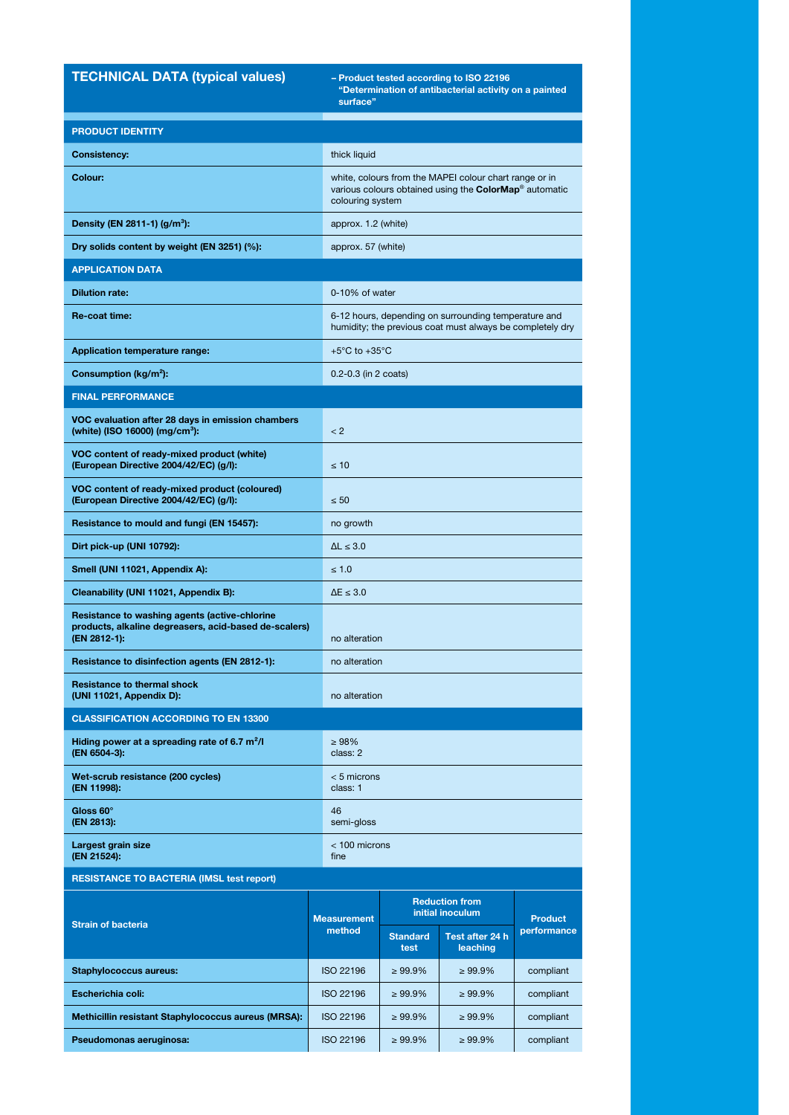# TECHNICAL DATA (typical values)

"Determination of antibacterial activity on a painted surface"

| <b>PRODUCT IDENTITY</b>                                                                                                |                              |                                                                                                                                                  |                             |                               |  |
|------------------------------------------------------------------------------------------------------------------------|------------------------------|--------------------------------------------------------------------------------------------------------------------------------------------------|-----------------------------|-------------------------------|--|
| <b>Consistency:</b>                                                                                                    | thick liquid                 |                                                                                                                                                  |                             |                               |  |
| Colour:                                                                                                                |                              | white, colours from the MAPEI colour chart range or in<br>various colours obtained using the ColorMap <sup>®</sup> automatic<br>colouring system |                             |                               |  |
| Density (EN 2811-1) (g/m <sup>3</sup> ):                                                                               |                              | approx. 1.2 (white)                                                                                                                              |                             |                               |  |
| Dry solids content by weight (EN 3251) (%):                                                                            |                              | approx. 57 (white)                                                                                                                               |                             |                               |  |
| <b>APPLICATION DATA</b>                                                                                                |                              |                                                                                                                                                  |                             |                               |  |
| <b>Dilution rate:</b>                                                                                                  |                              | 0-10% of water                                                                                                                                   |                             |                               |  |
| Re-coat time:                                                                                                          |                              | 6-12 hours, depending on surrounding temperature and<br>humidity; the previous coat must always be completely dry                                |                             |                               |  |
| <b>Application temperature range:</b>                                                                                  |                              | +5 $\mathrm{^{\circ}C}$ to +35 $\mathrm{^{\circ}C}$                                                                                              |                             |                               |  |
| Consumption ( $kg/m2$ ):                                                                                               |                              | $0.2 - 0.3$ (in 2 coats)                                                                                                                         |                             |                               |  |
| <b>FINAL PERFORMANCE</b>                                                                                               |                              |                                                                                                                                                  |                             |                               |  |
| VOC evaluation after 28 days in emission chambers<br>(white) (ISO 16000) (mg/cm <sup>3</sup> ):                        | < 2                          |                                                                                                                                                  |                             |                               |  |
| VOC content of ready-mixed product (white)<br>(European Directive 2004/42/EC) (g/l):                                   | $\leq 10$                    |                                                                                                                                                  |                             |                               |  |
| VOC content of ready-mixed product (coloured)<br>(European Directive 2004/42/EC) (g/l):                                | $\leq 50$                    |                                                                                                                                                  |                             |                               |  |
| Resistance to mould and fungi (EN 15457):                                                                              | no growth                    |                                                                                                                                                  |                             |                               |  |
| Dirt pick-up (UNI 10792):                                                                                              | $\Delta L \leq 3.0$          |                                                                                                                                                  |                             |                               |  |
| Smell (UNI 11021, Appendix A):                                                                                         | $\leq 1.0$                   |                                                                                                                                                  |                             |                               |  |
| Cleanability (UNI 11021, Appendix B):                                                                                  | $\Delta E \leq 3.0$          |                                                                                                                                                  |                             |                               |  |
| Resistance to washing agents (active-chlorine<br>products, alkaline degreasers, acid-based de-scalers)<br>(EN 2812-1): |                              | no alteration                                                                                                                                    |                             |                               |  |
| Resistance to disinfection agents (EN 2812-1):                                                                         |                              | no alteration                                                                                                                                    |                             |                               |  |
| <b>Resistance to thermal shock</b><br>(UNI 11021, Appendix D):                                                         |                              | no alteration                                                                                                                                    |                             |                               |  |
| <b>CLASSIFICATION ACCORDING TO EN 13300</b>                                                                            |                              |                                                                                                                                                  |                             |                               |  |
| Hiding power at a spreading rate of 6.7 $m^2/l$<br>(EN 6504-3):                                                        | >98%<br>class: 2             |                                                                                                                                                  |                             |                               |  |
| Wet-scrub resistance (200 cycles)<br>(EN 11998):                                                                       | $< 5$ microns<br>class: 1    |                                                                                                                                                  |                             |                               |  |
| Gloss 60°<br>(EN 2813):                                                                                                | 46<br>semi-gloss             |                                                                                                                                                  |                             |                               |  |
| Largest grain size<br>(EN 21524):                                                                                      | fine                         | $<$ 100 microns                                                                                                                                  |                             |                               |  |
| <b>RESISTANCE TO BACTERIA (IMSL test report)</b>                                                                       |                              |                                                                                                                                                  |                             |                               |  |
| <b>Strain of bacteria</b>                                                                                              | <b>Measurement</b><br>method | <b>Reduction from</b><br>initial inoculum                                                                                                        |                             |                               |  |
|                                                                                                                        |                              | <b>Standard</b><br>test                                                                                                                          | Test after 24 h<br>leaching | <b>Product</b><br>performance |  |
| <b>Staphylococcus aureus:</b>                                                                                          | <b>ISO 22196</b>             | $\geq 99.9\%$                                                                                                                                    | $\geq 99.9\%$               | compliant                     |  |
| Escherichia coli:                                                                                                      | <b>ISO 22196</b>             | $\geq 99.9\%$                                                                                                                                    | $\geq 99.9\%$               | compliant                     |  |
| Methicillin resistant Staphylococcus aureus (MRSA):                                                                    | <b>ISO 22196</b>             | $\geq 99.9\%$                                                                                                                                    | $\geq 99.9\%$               | compliant                     |  |
| Pseudomonas aeruginosa:                                                                                                | <b>ISO 22196</b>             | $\geq 99.9\%$                                                                                                                                    | $\geq 99.9\%$               | compliant                     |  |